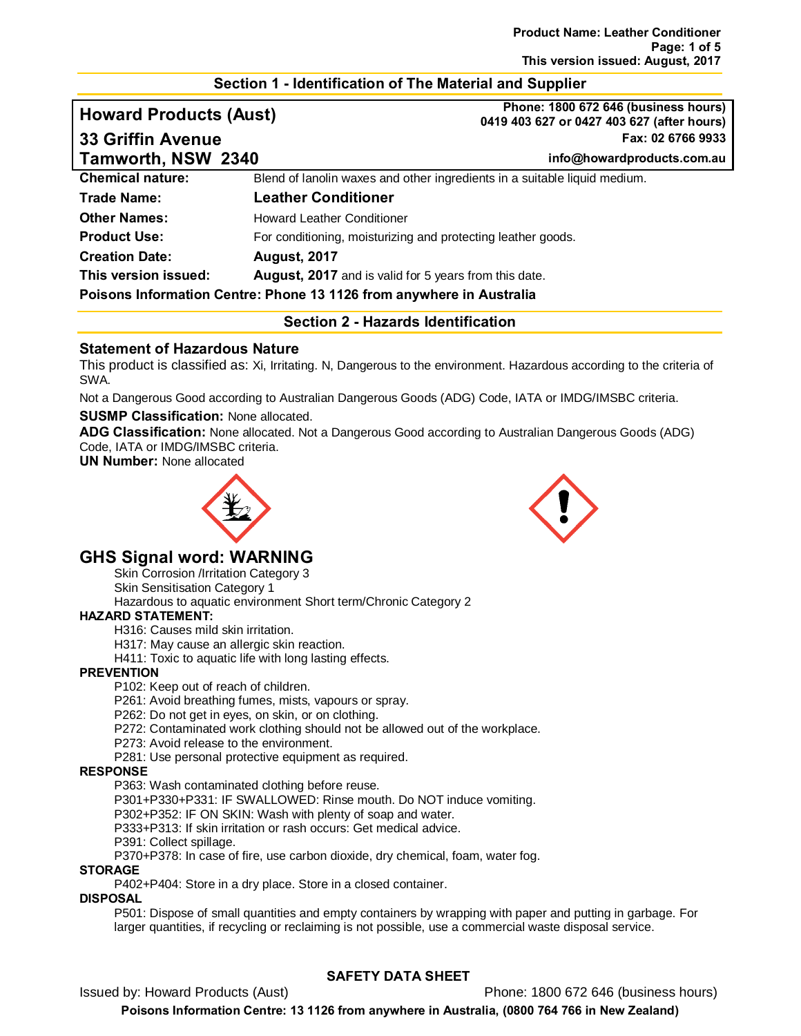#### **Section 1 - Identification of The Material and Supplier**

# **Howard Products (Aust) Phone: 1800 672 646 (business hours) 0419 403 627 or 0427 403 627 (after hours) 33 Griffin Avenue Fax: 02 6766 9933 Tamworth, NSW 2340 info@howardproducts.com.au Chemical nature:** Blend of lanolin waxes and other ingredients in a suitable liquid medium. **Trade Name: Leather Conditioner Other Names: Howard Leather Conditioner Product Use:** For conditioning, moisturizing and protecting leather goods. **Creation Date: August, 2017 This version issued: August, 2017** and is valid for 5 years from this date.

#### **Poisons Information Centre: Phone 13 1126 from anywhere in Australia**

**Section 2 - Hazards Identification**

## **Statement of Hazardous Nature**

This product is classified as: Xi, Irritating. N, Dangerous to the environment. Hazardous according to the criteria of SWA.

Not a Dangerous Good according to Australian Dangerous Goods (ADG) Code, IATA or IMDG/IMSBC criteria.

#### **SUSMP Classification:** None allocated.

**ADG Classification:** None allocated. Not a Dangerous Good according to Australian Dangerous Goods (ADG) Code, IATA or IMDG/IMSBC criteria.

**UN Number:** None allocated





# **GHS Signal word: WARNING**

Skin Corrosion /Irritation Category 3

Skin Sensitisation Category 1

Hazardous to aquatic environment Short term/Chronic Category 2

#### **HAZARD STATEMENT:**

H316: Causes mild skin irritation.

H317: May cause an allergic skin reaction.

H411: Toxic to aquatic life with long lasting effects.

#### **PREVENTION**

P102: Keep out of reach of children.

P261: Avoid breathing fumes, mists, vapours or spray.

P262: Do not get in eyes, on skin, or on clothing.

P272: Contaminated work clothing should not be allowed out of the workplace.

P273: Avoid release to the environment.

P281: Use personal protective equipment as required.

#### **RESPONSE**

P363: Wash contaminated clothing before reuse.

P301+P330+P331: IF SWALLOWED: Rinse mouth. Do NOT induce vomiting.

P302+P352: IF ON SKIN: Wash with plenty of soap and water.

P333+P313: If skin irritation or rash occurs: Get medical advice.

P391: Collect spillage.

P370+P378: In case of fire, use carbon dioxide, dry chemical, foam, water fog.

#### **STORAGE**

P402+P404: Store in a dry place. Store in a closed container.

## **DISPOSAL**

P501: Dispose of small quantities and empty containers by wrapping with paper and putting in garbage. For larger quantities, if recycling or reclaiming is not possible, use a commercial waste disposal service.

## **SAFETY DATA SHEET**

Issued by: Howard Products (Aust) Phone: 1800 672 646 (business hours)

**Poisons Information Centre: 13 1126 from anywhere in Australia, (0800 764 766 in New Zealand)**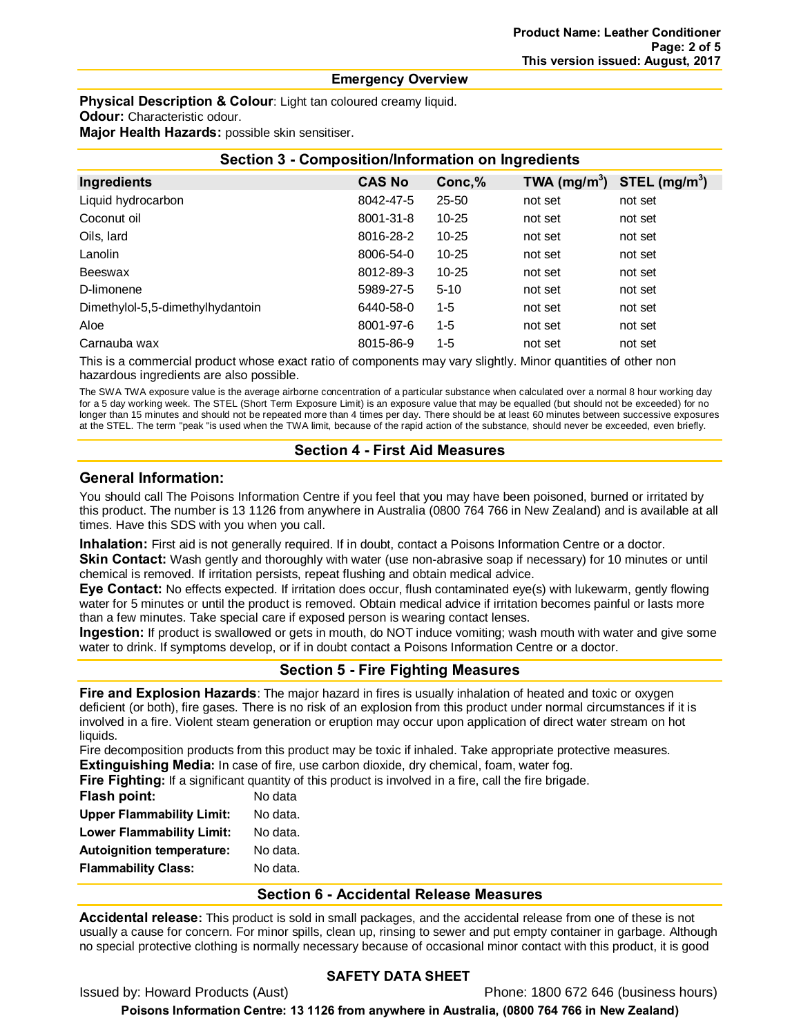#### **Emergency Overview**

**Physical Description & Colour:** Light tan coloured creamy liquid. **Odour:** Characteristic odour.

**Major Health Hazards:** possible skin sensitiser.

| <b>Section 3 - Composition/Information on Ingredients</b> |               |           |                |                           |  |
|-----------------------------------------------------------|---------------|-----------|----------------|---------------------------|--|
| Ingredients                                               | <b>CAS No</b> | Conc,%    | TWA $(mg/m^3)$ | STEL (mg/m <sup>3</sup> ) |  |
| Liquid hydrocarbon                                        | 8042-47-5     | $25 - 50$ | not set        | not set                   |  |
| Coconut oil                                               | 8001-31-8     | $10 - 25$ | not set        | not set                   |  |
| Oils, lard                                                | 8016-28-2     | $10 - 25$ | not set        | not set                   |  |
| Lanolin                                                   | 8006-54-0     | $10 - 25$ | not set        | not set                   |  |
| Beeswax                                                   | 8012-89-3     | $10 - 25$ | not set        | not set                   |  |
| D-limonene                                                | 5989-27-5     | $5 - 10$  | not set        | not set                   |  |
| Dimethylol-5,5-dimethylhydantoin                          | 6440-58-0     | $1 - 5$   | not set        | not set                   |  |
| Aloe                                                      | 8001-97-6     | $1 - 5$   | not set        | not set                   |  |
| Carnauba wax                                              | 8015-86-9     | $1 - 5$   | not set        | not set                   |  |

This is a commercial product whose exact ratio of components may vary slightly. Minor quantities of other non hazardous ingredients are also possible.

The SWA TWA exposure value is the average airborne concentration of a particular substance when calculated over a normal 8 hour working day for a 5 day working week. The STEL (Short Term Exposure Limit) is an exposure value that may be equalled (but should not be exceeded) for no longer than 15 minutes and should not be repeated more than 4 times per day. There should be at least 60 minutes between successive exposures at the STEL. The term "peak "is used when the TWA limit, because of the rapid action of the substance, should never be exceeded, even briefly.

## **Section 4 - First Aid Measures**

## **General Information:**

You should call The Poisons Information Centre if you feel that you may have been poisoned, burned or irritated by this product. The number is 13 1126 from anywhere in Australia (0800 764 766 in New Zealand) and is available at all times. Have this SDS with you when you call.

**Inhalation:** First aid is not generally required. If in doubt, contact a Poisons Information Centre or a doctor.

**Skin Contact:** Wash gently and thoroughly with water (use non-abrasive soap if necessary) for 10 minutes or until chemical is removed. If irritation persists, repeat flushing and obtain medical advice.

**Eye Contact:** No effects expected. If irritation does occur, flush contaminated eye(s) with lukewarm, gently flowing water for 5 minutes or until the product is removed. Obtain medical advice if irritation becomes painful or lasts more than a few minutes. Take special care if exposed person is wearing contact lenses.

**Ingestion:** If product is swallowed or gets in mouth, do NOT induce vomiting; wash mouth with water and give some water to drink. If symptoms develop, or if in doubt contact a Poisons Information Centre or a doctor.

## **Section 5 - Fire Fighting Measures**

**Fire and Explosion Hazards**: The major hazard in fires is usually inhalation of heated and toxic or oxygen deficient (or both), fire gases. There is no risk of an explosion from this product under normal circumstances if it is involved in a fire. Violent steam generation or eruption may occur upon application of direct water stream on hot liquids.

Fire decomposition products from this product may be toxic if inhaled. Take appropriate protective measures. **Extinguishing Media:** In case of fire, use carbon dioxide, dry chemical, foam, water fog.

**Fire Fighting:** If a significant quantity of this product is involved in a fire, call the fire brigade.

| <b>Flash point:</b>              | No data  |
|----------------------------------|----------|
| <b>Upper Flammability Limit:</b> | No data. |
| <b>Lower Flammability Limit:</b> | No data. |
| <b>Autoignition temperature:</b> | No data. |
| <b>Flammability Class:</b>       | No data. |

## **Section 6 - Accidental Release Measures**

**Accidental release:** This product is sold in small packages, and the accidental release from one of these is not usually a cause for concern. For minor spills, clean up, rinsing to sewer and put empty container in garbage. Although no special protective clothing is normally necessary because of occasional minor contact with this product, it is good

## **SAFETY DATA SHEET**

Issued by: Howard Products (Aust) Phone: 1800 672 646 (business hours)

**Poisons Information Centre: 13 1126 from anywhere in Australia, (0800 764 766 in New Zealand)**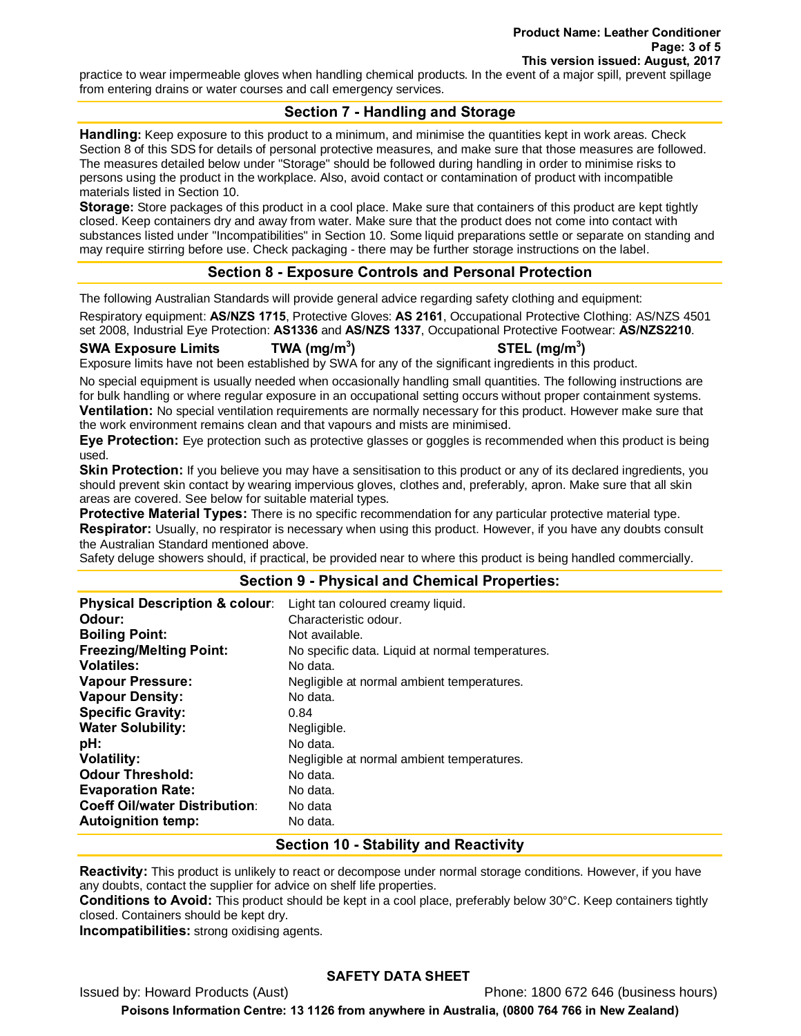practice to wear impermeable gloves when handling chemical products. In the event of a major spill, prevent spillage from entering drains or water courses and call emergency services.

## **Section 7 - Handling and Storage**

**Handling:** Keep exposure to this product to a minimum, and minimise the quantities kept in work areas. Check Section 8 of this SDS for details of personal protective measures, and make sure that those measures are followed. The measures detailed below under "Storage" should be followed during handling in order to minimise risks to persons using the product in the workplace. Also, avoid contact or contamination of product with incompatible materials listed in Section 10.

**Storage:** Store packages of this product in a cool place. Make sure that containers of this product are kept tightly closed. Keep containers dry and away from water. Make sure that the product does not come into contact with substances listed under "Incompatibilities" in Section 10. Some liquid preparations settle or separate on standing and may require stirring before use. Check packaging - there may be further storage instructions on the label.

## **Section 8 - Exposure Controls and Personal Protection**

The following Australian Standards will provide general advice regarding safety clothing and equipment:

Respiratory equipment: **AS/NZS 1715**, Protective Gloves: **AS 2161**, Occupational Protective Clothing: AS/NZS 4501 set 2008, Industrial Eye Protection: **AS1336** and **AS/NZS 1337**, Occupational Protective Footwear: **AS/NZS2210**.

#### **SWA Exposure Limits TWA (mg/m3**

**) STEL (mg/m3 )**

Exposure limits have not been established by SWA for any of the significant ingredients in this product.

No special equipment is usually needed when occasionally handling small quantities. The following instructions are for bulk handling or where regular exposure in an occupational setting occurs without proper containment systems. **Ventilation:** No special ventilation requirements are normally necessary for this product. However make sure that the work environment remains clean and that vapours and mists are minimised.

**Eye Protection:** Eye protection such as protective glasses or goggles is recommended when this product is being used.

**Skin Protection:** If you believe you may have a sensitisation to this product or any of its declared ingredients, you should prevent skin contact by wearing impervious gloves, clothes and, preferably, apron. Make sure that all skin areas are covered. See below for suitable material types.

**Protective Material Types:** There is no specific recommendation for any particular protective material type. **Respirator:** Usually, no respirator is necessary when using this product. However, if you have any doubts consult the Australian Standard mentioned above.

Safety deluge showers should, if practical, be provided near to where this product is being handled commercially.

#### **Section 9 - Physical and Chemical Properties:**

| <b>Physical Description &amp; colour:</b> | Light tan coloured creamy liquid.                |
|-------------------------------------------|--------------------------------------------------|
| Odour:                                    | Characteristic odour.                            |
| <b>Boiling Point:</b>                     | Not available.                                   |
| <b>Freezing/Melting Point:</b>            | No specific data. Liquid at normal temperatures. |
| <b>Volatiles:</b>                         | No data.                                         |
| <b>Vapour Pressure:</b>                   | Negligible at normal ambient temperatures.       |
| <b>Vapour Density:</b>                    | No data.                                         |
| <b>Specific Gravity:</b>                  | 0.84                                             |
| <b>Water Solubility:</b>                  | Negligible.                                      |
| pH:                                       | No data.                                         |
| <b>Volatility:</b>                        | Negligible at normal ambient temperatures.       |
| <b>Odour Threshold:</b>                   | No data.                                         |
| <b>Evaporation Rate:</b>                  | No data.                                         |
| <b>Coeff Oil/water Distribution:</b>      | No data                                          |
| <b>Autoignition temp:</b>                 | No data.                                         |

## **Section 10 - Stability and Reactivity**

**Reactivity:** This product is unlikely to react or decompose under normal storage conditions. However, if you have any doubts, contact the supplier for advice on shelf life properties.

**Conditions to Avoid:** This product should be kept in a cool place, preferably below 30°C. Keep containers tightly closed. Containers should be kept dry.

**Incompatibilities:** strong oxidising agents.

#### **SAFETY DATA SHEET**

Issued by: Howard Products (Aust) Phone: 1800 672 646 (business hours) **Poisons Information Centre: 13 1126 from anywhere in Australia, (0800 764 766 in New Zealand)**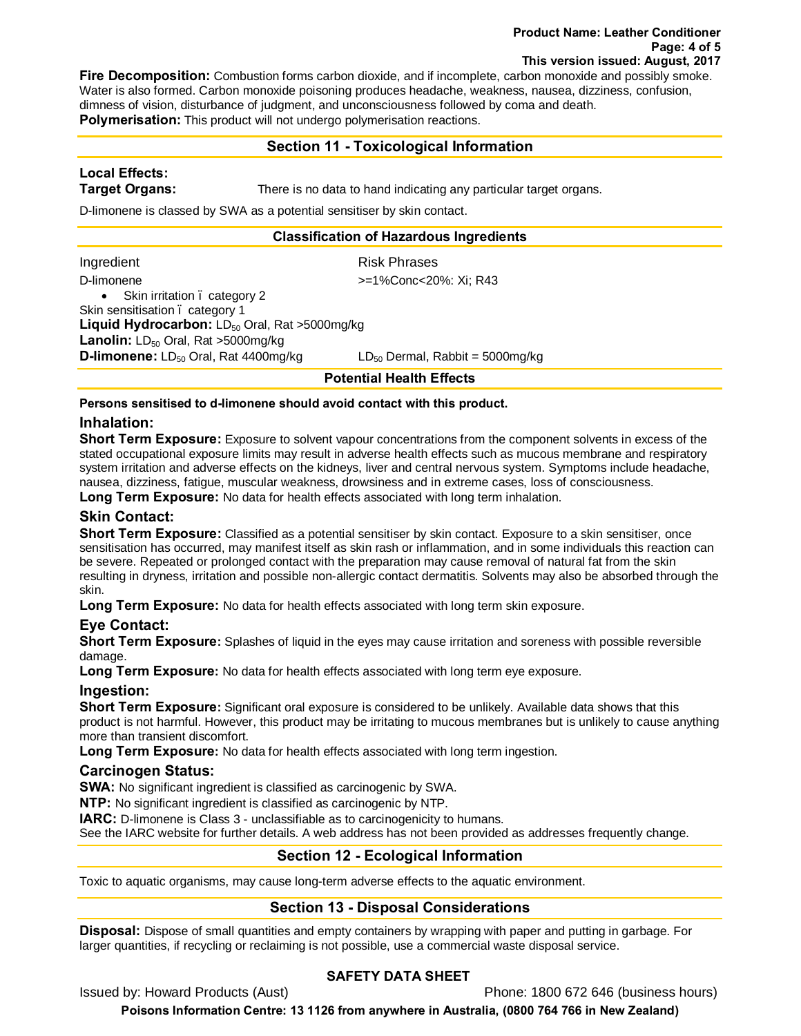#### **Product Name: Leather Conditioner Page: 4 of 5 This version issued: August, 2017**

**Fire Decomposition:** Combustion forms carbon dioxide, and if incomplete, carbon monoxide and possibly smoke. Water is also formed. Carbon monoxide poisoning produces headache, weakness, nausea, dizziness, confusion, dimness of vision, disturbance of judgment, and unconsciousness followed by coma and death. **Polymerisation:** This product will not undergo polymerisation reactions.

## **Section 11 - Toxicological Information**

# **Local Effects:**

**Target Organs:** There is no data to hand indicating any particular target organs.

D-limonene is classed by SWA as a potential sensitiser by skin contact.

#### **Classification of Hazardous Ingredients**

|                                                           | <b>Potential Health Effects</b>      |  |
|-----------------------------------------------------------|--------------------------------------|--|
| D-limonene: LD <sub>50</sub> Oral, Rat 4400mg/kg          | $LD_{50}$ Dermal, Rabbit = 5000mg/kg |  |
| Lanolin: LD <sub>50</sub> Oral, Rat >5000mg/kg            |                                      |  |
| Liquid Hydrocarbon: LD <sub>50</sub> Oral, Rat >5000mg/kg |                                      |  |
| Skin sensitisation . category 1                           |                                      |  |
| • Skin irritation . category 2                            |                                      |  |
| D-limonene                                                | >=1%Conc<20%: Xi; R43                |  |
| Ingredient                                                | <b>Risk Phrases</b>                  |  |
|                                                           |                                      |  |

**Persons sensitised to d-limonene should avoid contact with this product.**

## **Inhalation:**

**Short Term Exposure:** Exposure to solvent vapour concentrations from the component solvents in excess of the stated occupational exposure limits may result in adverse health effects such as mucous membrane and respiratory system irritation and adverse effects on the kidneys, liver and central nervous system. Symptoms include headache, nausea, dizziness, fatigue, muscular weakness, drowsiness and in extreme cases, loss of consciousness.

**Long Term Exposure:** No data for health effects associated with long term inhalation.

## **Skin Contact:**

Short Term Exposure: Classified as a potential sensitiser by skin contact. Exposure to a skin sensitiser, once sensitisation has occurred, may manifest itself as skin rash or inflammation, and in some individuals this reaction can be severe. Repeated or prolonged contact with the preparation may cause removal of natural fat from the skin resulting in dryness, irritation and possible non-allergic contact dermatitis. Solvents may also be absorbed through the skin.

**Long Term Exposure:** No data for health effects associated with long term skin exposure.

## **Eye Contact:**

**Short Term Exposure:** Splashes of liquid in the eyes may cause irritation and soreness with possible reversible damage.

**Long Term Exposure:** No data for health effects associated with long term eye exposure.

## **Ingestion:**

**Short Term Exposure:** Significant oral exposure is considered to be unlikely. Available data shows that this product is not harmful. However, this product may be irritating to mucous membranes but is unlikely to cause anything more than transient discomfort.

**Long Term Exposure:** No data for health effects associated with long term ingestion.

## **Carcinogen Status:**

**SWA:** No significant ingredient is classified as carcinogenic by SWA.

**NTP:** No significant ingredient is classified as carcinogenic by NTP.

**IARC:** D-limonene is Class 3 - unclassifiable as to carcinogenicity to humans.

See the IARC website for further details. A web address has not been provided as addresses frequently change.

## **Section 12 - Ecological Information**

Toxic to aquatic organisms, may cause long-term adverse effects to the aquatic environment.

## **Section 13 - Disposal Considerations**

**Disposal:** Dispose of small quantities and empty containers by wrapping with paper and putting in garbage. For larger quantities, if recycling or reclaiming is not possible, use a commercial waste disposal service.

## **SAFETY DATA SHEET**

Issued by: Howard Products (Aust) Phone: 1800 672 646 (business hours)

**Poisons Information Centre: 13 1126 from anywhere in Australia, (0800 764 766 in New Zealand)**